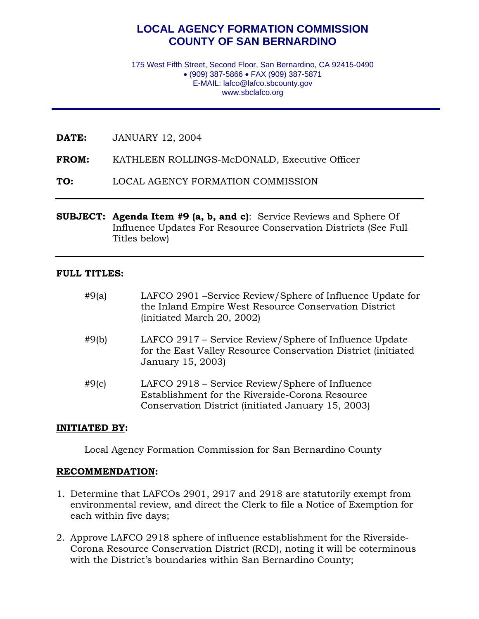# **LOCAL AGENCY FORMATION COMMISSION COUNTY OF SAN BERNARDINO**

175 West Fifth Street, Second Floor, San Bernardino, CA 92415-0490 • (909) 387-5866 • FAX (909) 387-5871 E-MAIL: lafco@lafco.sbcounty.gov www.sbclafco.org

**DATE:** JANUARY 12, 2004

**FROM:** KATHLEEN ROLLINGS-McDONALD, Executive Officer

**TO:** LOCAL AGENCY FORMATION COMMISSION

**SUBJECT: Agenda Item #9 (a, b, and c)**: Service Reviews and Sphere Of Influence Updates For Resource Conservation Districts (See Full Titles below)

#### **FULL TITLES:**

| #9(a) | LAFCO 2901 -Service Review/Sphere of Influence Update for<br>the Inland Empire West Resource Conservation District<br>(initiated March 20, 2002)         |
|-------|----------------------------------------------------------------------------------------------------------------------------------------------------------|
| #9(b) | LAFCO 2917 – Service Review/Sphere of Influence Update<br>for the East Valley Resource Conservation District (initiated<br>January 15, 2003)             |
| #9(c) | LAFCO 2918 – Service Review/Sphere of Influence<br>Establishment for the Riverside-Corona Resource<br>Conservation District (initiated January 15, 2003) |

#### **INITIATED BY:**

Local Agency Formation Commission for San Bernardino County

#### **RECOMMENDATION:**

- 1. Determine that LAFCOs 2901, 2917 and 2918 are statutorily exempt from environmental review, and direct the Clerk to file a Notice of Exemption for each within five days;
- 2. Approve LAFCO 2918 sphere of influence establishment for the Riverside-Corona Resource Conservation District (RCD), noting it will be coterminous with the District's boundaries within San Bernardino County;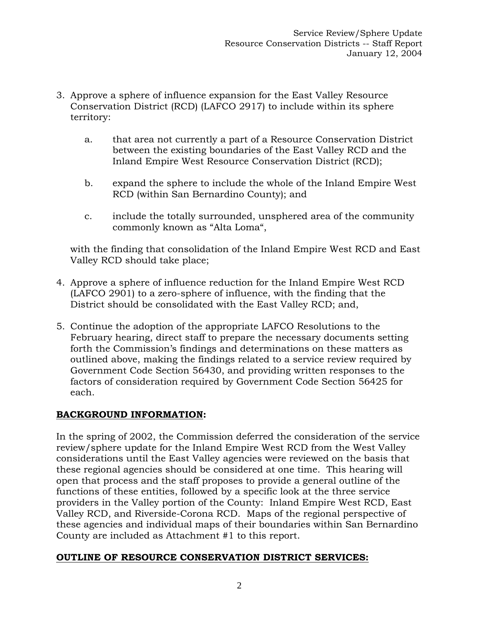- 3. Approve a sphere of influence expansion for the East Valley Resource Conservation District (RCD) (LAFCO 2917) to include within its sphere territory:
	- a. that area not currently a part of a Resource Conservation District between the existing boundaries of the East Valley RCD and the Inland Empire West Resource Conservation District (RCD);
	- b. expand the sphere to include the whole of the Inland Empire West RCD (within San Bernardino County); and
	- c. include the totally surrounded, unsphered area of the community commonly known as "Alta Loma",

 with the finding that consolidation of the Inland Empire West RCD and East Valley RCD should take place;

- 4. Approve a sphere of influence reduction for the Inland Empire West RCD (LAFCO 2901) to a zero-sphere of influence, with the finding that the District should be consolidated with the East Valley RCD; and,
- 5. Continue the adoption of the appropriate LAFCO Resolutions to the February hearing, direct staff to prepare the necessary documents setting forth the Commission's findings and determinations on these matters as outlined above, making the findings related to a service review required by Government Code Section 56430, and providing written responses to the factors of consideration required by Government Code Section 56425 for each.

# **BACKGROUND INFORMATION:**

In the spring of 2002, the Commission deferred the consideration of the service review/sphere update for the Inland Empire West RCD from the West Valley considerations until the East Valley agencies were reviewed on the basis that these regional agencies should be considered at one time. This hearing will open that process and the staff proposes to provide a general outline of the functions of these entities, followed by a specific look at the three service providers in the Valley portion of the County: Inland Empire West RCD, East Valley RCD, and Riverside-Corona RCD. Maps of the regional perspective of these agencies and individual maps of their boundaries within San Bernardino County are included as Attachment #1 to this report.

# **OUTLINE OF RESOURCE CONSERVATION DISTRICT SERVICES:**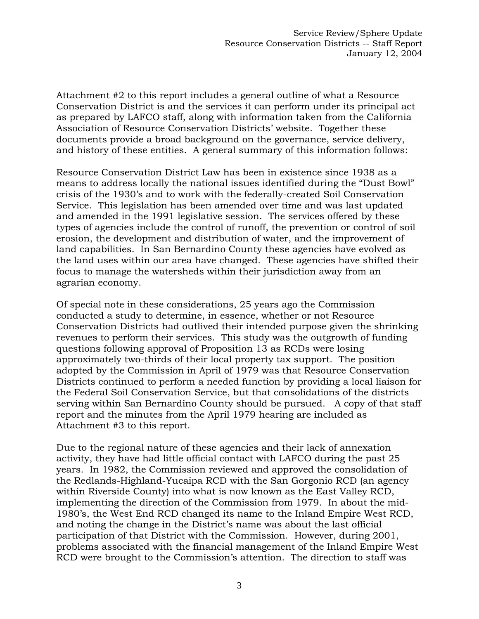Attachment #2 to this report includes a general outline of what a Resource Conservation District is and the services it can perform under its principal act as prepared by LAFCO staff, along with information taken from the California Association of Resource Conservation Districts' website. Together these documents provide a broad background on the governance, service delivery, and history of these entities. A general summary of this information follows:

Resource Conservation District Law has been in existence since 1938 as a means to address locally the national issues identified during the "Dust Bowl" crisis of the 1930's and to work with the federally-created Soil Conservation Service. This legislation has been amended over time and was last updated and amended in the 1991 legislative session. The services offered by these types of agencies include the control of runoff, the prevention or control of soil erosion, the development and distribution of water, and the improvement of land capabilities. In San Bernardino County these agencies have evolved as the land uses within our area have changed. These agencies have shifted their focus to manage the watersheds within their jurisdiction away from an agrarian economy.

Of special note in these considerations, 25 years ago the Commission conducted a study to determine, in essence, whether or not Resource Conservation Districts had outlived their intended purpose given the shrinking revenues to perform their services. This study was the outgrowth of funding questions following approval of Proposition 13 as RCDs were losing approximately two-thirds of their local property tax support. The position adopted by the Commission in April of 1979 was that Resource Conservation Districts continued to perform a needed function by providing a local liaison for the Federal Soil Conservation Service, but that consolidations of the districts serving within San Bernardino County should be pursued. A copy of that staff report and the minutes from the April 1979 hearing are included as Attachment #3 to this report.

Due to the regional nature of these agencies and their lack of annexation activity, they have had little official contact with LAFCO during the past 25 years. In 1982, the Commission reviewed and approved the consolidation of the Redlands-Highland-Yucaipa RCD with the San Gorgonio RCD (an agency within Riverside County) into what is now known as the East Valley RCD, implementing the direction of the Commission from 1979. In about the mid-1980's, the West End RCD changed its name to the Inland Empire West RCD, and noting the change in the District's name was about the last official participation of that District with the Commission. However, during 2001, problems associated with the financial management of the Inland Empire West RCD were brought to the Commission's attention. The direction to staff was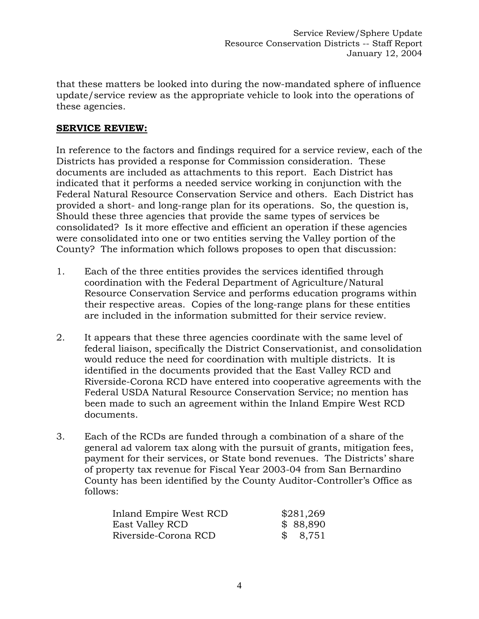that these matters be looked into during the now-mandated sphere of influence update/service review as the appropriate vehicle to look into the operations of these agencies.

### **SERVICE REVIEW:**

In reference to the factors and findings required for a service review, each of the Districts has provided a response for Commission consideration. These documents are included as attachments to this report. Each District has indicated that it performs a needed service working in conjunction with the Federal Natural Resource Conservation Service and others. Each District has provided a short- and long-range plan for its operations. So, the question is, Should these three agencies that provide the same types of services be consolidated? Is it more effective and efficient an operation if these agencies were consolidated into one or two entities serving the Valley portion of the County? The information which follows proposes to open that discussion:

- 1. Each of the three entities provides the services identified through coordination with the Federal Department of Agriculture/Natural Resource Conservation Service and performs education programs within their respective areas. Copies of the long-range plans for these entities are included in the information submitted for their service review.
- 2. It appears that these three agencies coordinate with the same level of federal liaison, specifically the District Conservationist, and consolidation would reduce the need for coordination with multiple districts. It is identified in the documents provided that the East Valley RCD and Riverside-Corona RCD have entered into cooperative agreements with the Federal USDA Natural Resource Conservation Service; no mention has been made to such an agreement within the Inland Empire West RCD documents.
- 3. Each of the RCDs are funded through a combination of a share of the general ad valorem tax along with the pursuit of grants, mitigation fees, payment for their services, or State bond revenues. The Districts' share of property tax revenue for Fiscal Year 2003-04 from San Bernardino County has been identified by the County Auditor-Controller's Office as follows:

| Inland Empire West RCD | \$281,269 |
|------------------------|-----------|
| East Valley RCD        | \$88,890  |
| Riverside-Corona RCD   | \$8,751   |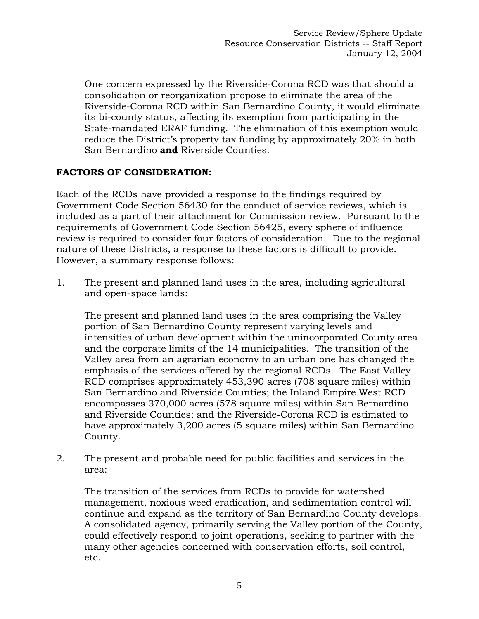One concern expressed by the Riverside-Corona RCD was that should a consolidation or reorganization propose to eliminate the area of the Riverside-Corona RCD within San Bernardino County, it would eliminate its bi-county status, affecting its exemption from participating in the State-mandated ERAF funding. The elimination of this exemption would reduce the District's property tax funding by approximately 20% in both San Bernardino **and** Riverside Counties.

### **FACTORS OF CONSIDERATION:**

Each of the RCDs have provided a response to the findings required by Government Code Section 56430 for the conduct of service reviews, which is included as a part of their attachment for Commission review. Pursuant to the requirements of Government Code Section 56425, every sphere of influence review is required to consider four factors of consideration. Due to the regional nature of these Districts, a response to these factors is difficult to provide. However, a summary response follows:

1. The present and planned land uses in the area, including agricultural and open-space lands:

 The present and planned land uses in the area comprising the Valley portion of San Bernardino County represent varying levels and intensities of urban development within the unincorporated County area and the corporate limits of the 14 municipalities. The transition of the Valley area from an agrarian economy to an urban one has changed the emphasis of the services offered by the regional RCDs. The East Valley RCD comprises approximately 453,390 acres (708 square miles) within San Bernardino and Riverside Counties; the Inland Empire West RCD encompasses 370,000 acres (578 square miles) within San Bernardino and Riverside Counties; and the Riverside-Corona RCD is estimated to have approximately 3,200 acres (5 square miles) within San Bernardino County.

2. The present and probable need for public facilities and services in the area:

 The transition of the services from RCDs to provide for watershed management, noxious weed eradication, and sedimentation control will continue and expand as the territory of San Bernardino County develops. A consolidated agency, primarily serving the Valley portion of the County, could effectively respond to joint operations, seeking to partner with the many other agencies concerned with conservation efforts, soil control, etc.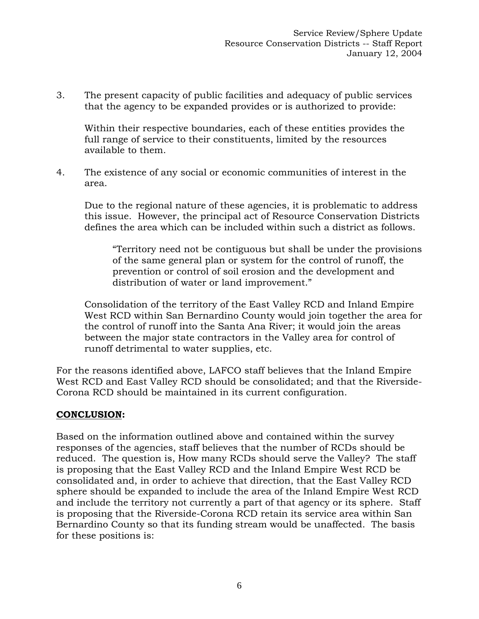3. The present capacity of public facilities and adequacy of public services that the agency to be expanded provides or is authorized to provide:

 Within their respective boundaries, each of these entities provides the full range of service to their constituents, limited by the resources available to them.

4. The existence of any social or economic communities of interest in the area.

 Due to the regional nature of these agencies, it is problematic to address this issue. However, the principal act of Resource Conservation Districts defines the area which can be included within such a district as follows.

"Territory need not be contiguous but shall be under the provisions of the same general plan or system for the control of runoff, the prevention or control of soil erosion and the development and distribution of water or land improvement."

 Consolidation of the territory of the East Valley RCD and Inland Empire West RCD within San Bernardino County would join together the area for the control of runoff into the Santa Ana River; it would join the areas between the major state contractors in the Valley area for control of runoff detrimental to water supplies, etc.

For the reasons identified above, LAFCO staff believes that the Inland Empire West RCD and East Valley RCD should be consolidated; and that the Riverside-Corona RCD should be maintained in its current configuration.

# **CONCLUSION:**

Based on the information outlined above and contained within the survey responses of the agencies, staff believes that the number of RCDs should be reduced. The question is, How many RCDs should serve the Valley? The staff is proposing that the East Valley RCD and the Inland Empire West RCD be consolidated and, in order to achieve that direction, that the East Valley RCD sphere should be expanded to include the area of the Inland Empire West RCD and include the territory not currently a part of that agency or its sphere. Staff is proposing that the Riverside-Corona RCD retain its service area within San Bernardino County so that its funding stream would be unaffected. The basis for these positions is: